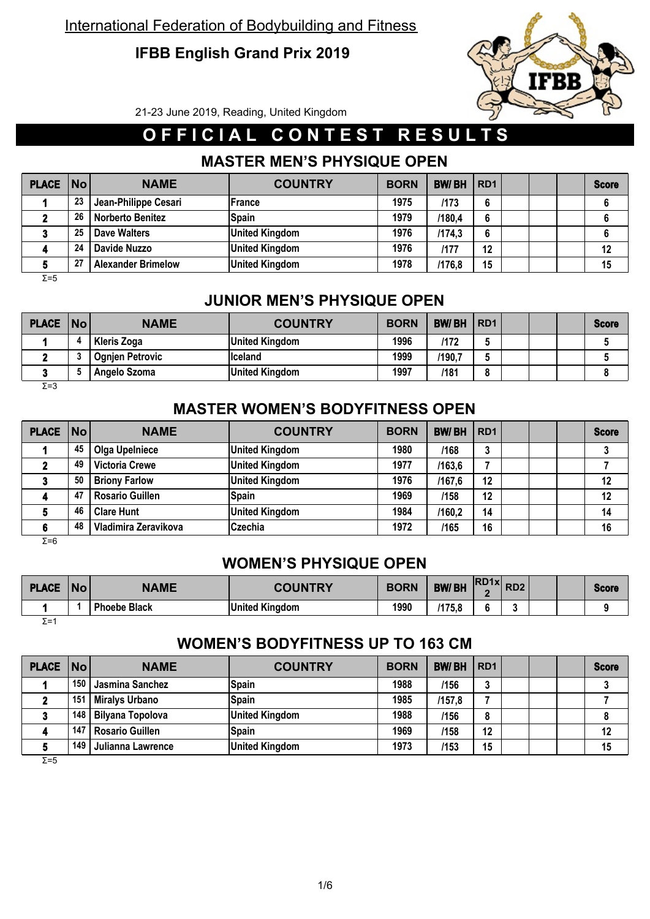# **IFBB English Grand Prix 2019**



21-23 June 2019, Reading, United Kingdom

# **O F F I C I A L C O N T E S T R E S U L T S**

## **MASTER MEN'S PHYSIQUE OPEN**

| <b>PLACE   No  </b> |    | <b>NAME</b>               | <b>COUNTRY</b>        | <b>BORN</b> | <b>BW/BH</b> | RD <sub>1</sub> |  | <b>Score</b> |
|---------------------|----|---------------------------|-----------------------|-------------|--------------|-----------------|--|--------------|
|                     | 23 | Jean-Philippe Cesari      | <b>France</b>         | 1975        | /173         | 6               |  |              |
|                     | 26 | <b>Norberto Benitez</b>   | <b>Spain</b>          | 1979        | /180,4       | 6               |  |              |
|                     | 25 | Dave Walters              | <b>United Kingdom</b> | 1976        | /174.3       | 6               |  |              |
|                     | 24 | Davide Nuzzo              | <b>United Kingdom</b> | 1976        | /177         | 12              |  | 12           |
|                     | 27 | <b>Alexander Brimelow</b> | <b>United Kingdom</b> | 1978        | /176,8       | 15              |  | 15           |

Σ=5

## **JUNIOR MEN'S PHYSIQUE OPEN**

| <b>PLACE No</b> | <b>NAME</b>            | <b>COUNTRY</b>        | <b>BORN</b> | <b>BW/BH</b> | RD <sub>1</sub> |  | <b>Score</b> |
|-----------------|------------------------|-----------------------|-------------|--------------|-----------------|--|--------------|
|                 | <b>Kleris Zoga</b>     | <b>United Kingdom</b> | 1996        | /172         |                 |  |              |
|                 | <b>Ognjen Petrovic</b> | <b>Iceland</b>        | 1999        | /190,7       | w               |  |              |
|                 | Angelo Szoma           | <b>United Kingdom</b> | 1997        | /181         | $\bullet$       |  |              |
| Σ=3             |                        |                       |             |              |                 |  |              |

### **MASTER WOMEN'S BODYFITNESS OPEN**

| PLACE No      |    | <b>NAME</b>            | <b>COUNTRY</b>        | <b>BORN</b> | <b>BW/BH</b> | RD <sub>1</sub> |  | <b>Score</b> |
|---------------|----|------------------------|-----------------------|-------------|--------------|-----------------|--|--------------|
|               | 45 | <b>Olga Upelniece</b>  | <b>United Kingdom</b> | 1980        | /168         | າ<br>Ĵ          |  |              |
|               | 49 | <b>Victoria Crewe</b>  | <b>United Kingdom</b> | 1977        | /163.6       |                 |  |              |
|               | 50 | <b>Briony Farlow</b>   | <b>United Kingdom</b> | 1976        | /167,6       | 12              |  | 12           |
|               | 47 | <b>Rosario Guillen</b> | <b>Spain</b>          | 1969        | /158         | 12              |  | 12           |
|               | 46 | <b>Clare Hunt</b>      | <b>United Kingdom</b> | 1984        | /160.2       | 14              |  | 14           |
|               | 48 | Vladimira Zeravikova   | Czechia               | 1972        | /165         | 16              |  | 16           |
| $\sim$ $\sim$ |    |                        |                       |             |              |                 |  |              |

Σ=6

## **WOMEN'S PHYSIQUE OPEN**

| <b>PLACE</b> | <b>No</b> | <b>NAME</b>         | <b>COUNTRY</b>        | <b>BORN</b> | $\overline{R}$ $\overline{R}$ $\overline{R}$ $\overline{R}$ $\overline{R}$ $\overline{R}$ $\overline{R}$ $\overline{R}$ $\overline{R}$ $\overline{R}$ $\overline{R}$ $\overline{R}$ $\overline{R}$ $\overline{R}$ $\overline{R}$ $\overline{R}$ $\overline{R}$ $\overline{R}$ $\overline{R}$ $\overline{R}$ $\overline{R}$ $\overline{R}$ $\overline{R}$ $\overline{R}$ $\overline{$<br><b>BW/BH</b> |  |  | <b>Score</b> |
|--------------|-----------|---------------------|-----------------------|-------------|------------------------------------------------------------------------------------------------------------------------------------------------------------------------------------------------------------------------------------------------------------------------------------------------------------------------------------------------------------------------------------------------------|--|--|--------------|
|              |           | <b>Phoebe Black</b> | <b>United Kingdom</b> | 1990        | /175,8                                                                                                                                                                                                                                                                                                                                                                                               |  |  |              |
| $\Sigma = 1$ |           |                     |                       |             |                                                                                                                                                                                                                                                                                                                                                                                                      |  |  |              |

### **WOMEN'S BODYFITNESS UP TO 163 CM**

| PLACE   No |     | <b>NAME</b>             | <b>COUNTRY</b>        | <b>BORN</b> | <b>BW/BH</b> | RD <sub>1</sub> |  | <b>Score</b> |
|------------|-----|-------------------------|-----------------------|-------------|--------------|-----------------|--|--------------|
|            | 150 | Jasmina Sanchez         | Spain                 | 1988        | /156         |                 |  |              |
|            | 151 | <b>Miralys Urbano</b>   | Spain                 | 1985        | /157.8       |                 |  |              |
|            | 148 | <b>Bilyana Topolova</b> | <b>United Kingdom</b> | 1988        | /156         | 8               |  |              |
|            | 147 | <b>Rosario Guillen</b>  | <b>Spain</b>          | 1969        | /158         | 12              |  | 12           |
|            | 149 | Julianna Lawrence       | <b>United Kingdom</b> | 1973        | /153         | 15              |  | 15           |

 $\overline{Σ=5}$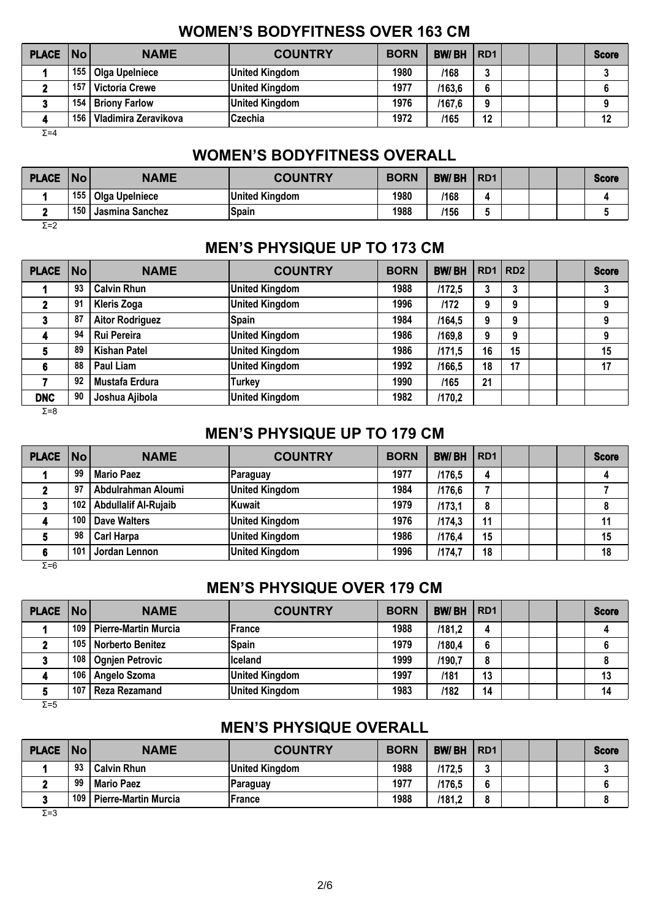### **WOMEN'S BODYFITNESS OVER 163 CM**

| <b>PLACE No</b> |     | <b>NAME</b>           | <b>COUNTRY</b>        | <b>BORN</b> | <b>BW/BH</b> | RD <sub>1</sub> |  | <b>Score</b> |
|-----------------|-----|-----------------------|-----------------------|-------------|--------------|-----------------|--|--------------|
|                 | 155 | <b>Olga Upelniece</b> | <b>United Kingdom</b> | 1980        | /168         | ≏<br>u          |  |              |
|                 | 157 | <b>Victoria Crewe</b> | <b>United Kingdom</b> | 1977        | /163.6       | 6               |  |              |
|                 | 154 | <b>Briony Farlow</b>  | <b>United Kingdom</b> | 1976        | /167.6       | 9               |  |              |
|                 | 156 | Vladimira Zeravikova  | <b>Czechia</b>        | 1972        | /165         | 12              |  | 12           |
| $\Sigma = 4$    |     |                       |                       |             |              |                 |  |              |

#### **WOMEN'S BODYFITNESS OVERALL**

| <b>PLACE</b> | No  | <b>NAME</b>     | <b>COUNTRY</b>        | <b>BORN</b> | <b>BW/BH</b> | R <sub>D</sub> <sub>1</sub> |  | <b>Score</b> |
|--------------|-----|-----------------|-----------------------|-------------|--------------|-----------------------------|--|--------------|
|              | 155 | Olga Upelniece  | <b>United Kingdom</b> | 1980        | /168         |                             |  |              |
|              | 150 | Jasmina Sanchez | Spain                 | 1988        | /156         |                             |  |              |
| Σ=2          |     |                 |                       |             |              |                             |  |              |

### **MEN'S PHYSIQUE UP TO 173 CM**

| PLACE No   |    | <b>NAME</b>            | <b>COUNTRY</b>        | <b>BORN</b> | <b>BW/BH</b> | $RD1$ RD2 |    |  | <b>Score</b> |
|------------|----|------------------------|-----------------------|-------------|--------------|-----------|----|--|--------------|
|            | 93 | <b>Calvin Rhun</b>     | <b>United Kingdom</b> | 1988        | /172.5       | 3         | 3  |  |              |
|            | 91 | <b>Kleris Zoga</b>     | <b>United Kingdom</b> | 1996        | /172         | 9         | 9  |  | 9            |
|            | 87 | <b>Aitor Rodriguez</b> | <b>Spain</b>          | 1984        | /164,5       | 9         | 9  |  | 9            |
|            | 94 | Rui Pereira            | <b>United Kingdom</b> | 1986        | /169,8       | 9         | 9  |  | 9            |
|            | 89 | <b>Kishan Patel</b>    | <b>United Kingdom</b> | 1986        | /171.5       | 16        | 15 |  | 15           |
|            | 88 | Paul Liam              | <b>United Kingdom</b> | 1992        | /166.5       | 18        | 17 |  | 17           |
|            | 92 | Mustafa Erdura         | <b>Turkey</b>         | 1990        | /165         | 21        |    |  |              |
| <b>DNC</b> | 90 | Joshua Ajibola         | <b>United Kingdom</b> | 1982        | /170,2       |           |    |  |              |

Σ=8

### **MEN'S PHYSIQUE UP TO 179 CM**

| <b>PLACE No</b> |     | <b>NAME</b>                 | <b>COUNTRY</b>        | <b>BORN</b> | <b>BW/BH</b> | l RD1 |  | <b>Score</b> |
|-----------------|-----|-----------------------------|-----------------------|-------------|--------------|-------|--|--------------|
|                 | 99  | <b>Mario Paez</b>           | Paraguay              | 1977        | /176.5       | 4     |  |              |
|                 | 97  | Abdulrahman Aloumi          | <b>United Kingdom</b> | 1984        | /176,6       |       |  |              |
|                 | 102 | <b>Abdullalif Al-Rujaib</b> | <b>Kuwait</b>         | 1979        | /173.1       | 8     |  | 8            |
|                 | 100 | Dave Walters                | <b>United Kingdom</b> | 1976        | /174,3       | 11    |  | 11           |
|                 | 98  | <b>Carl Harpa</b>           | <b>United Kingdom</b> | 1986        | /176,4       | 15    |  | 15           |
|                 | 101 | Jordan Lennon               | <b>United Kingdom</b> | 1996        | /174,7       | 18    |  | 18           |

Σ=6

# **MEN'S PHYSIQUE OVER 179 CM**

| <b>PLACE   No  </b> |     | <b>NAME</b>                 | <b>COUNTRY</b>        | <b>BORN</b> | <b>BW/BH</b> | RD <sub>1</sub> |  | <b>Score</b> |
|---------------------|-----|-----------------------------|-----------------------|-------------|--------------|-----------------|--|--------------|
|                     | 109 | <b>Pierre-Martin Murcia</b> | <b>France</b>         | 1988        | /181,2       | д               |  |              |
|                     | 105 | <b>Norberto Benitez</b>     | <b>Spain</b>          | 1979        | /180,4       | 6               |  |              |
|                     | 108 | <b>Ognjen Petrovic</b>      | liceland              | 1999        | /190,7       | o<br>Ō          |  |              |
|                     | 106 | Angelo Szoma                | <b>United Kingdom</b> | 1997        | /181         | 13              |  | 13           |
|                     | 107 | <b>Reza Rezamand</b>        | <b>United Kingdom</b> | 1983        | /182         | 14              |  | 14           |

Σ=5

## **MEN'S PHYSIQUE OVERALL**

| <b>PLACE</b> | No  | <b>NAME</b>                 | <b>COUNTRY</b>        | <b>BORN</b> | <b>BW/BH</b> | R <sub>D</sub> 1 |  | <b>Score</b> |
|--------------|-----|-----------------------------|-----------------------|-------------|--------------|------------------|--|--------------|
|              | 93  | <b>Calvin Rhun</b>          | <b>United Kingdom</b> | 1988        | /172,5       |                  |  |              |
|              | 99  | <b>Mario Paez</b>           | Paraguay              | 1977        | /176.5       |                  |  |              |
|              | 109 | <b>Pierre-Martin Murcia</b> | France                | 1988        | /181.2       | O                |  |              |

 $\overline{Σ}$ =3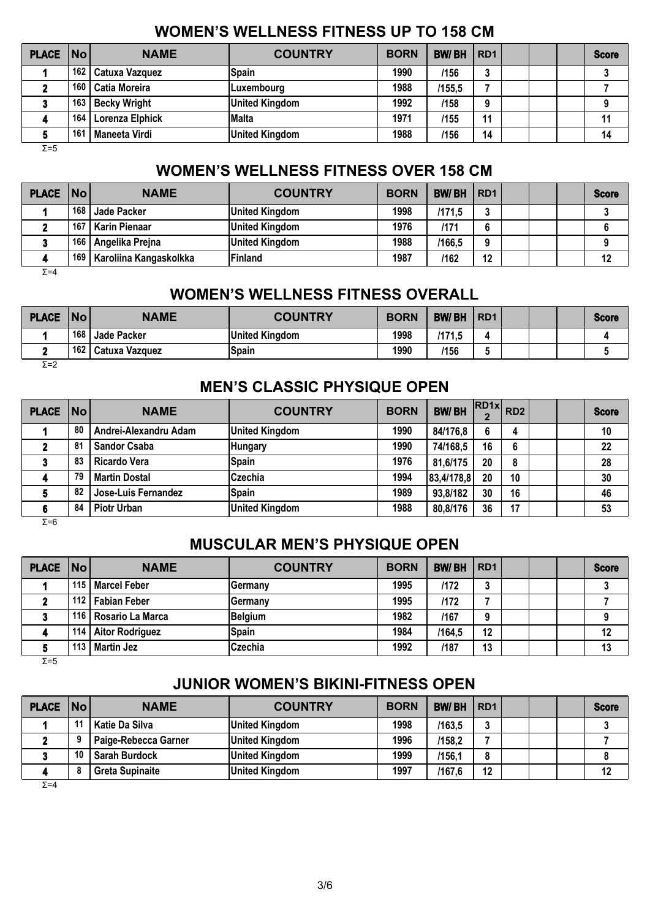# **WOMEN'S WELLNESS FITNESS UP TO 158 CM**

| PLACE No     |     | <b>NAME</b>            | <b>COUNTRY</b>        | <b>BORN</b> | <b>BW/BH</b> | R <sub>D</sub> 1 |  | <b>Score</b> |
|--------------|-----|------------------------|-----------------------|-------------|--------------|------------------|--|--------------|
|              | 162 | <b>Catuxa Vazquez</b>  | <b>Spain</b>          | 1990        | /156         | J                |  |              |
|              | 160 | <b>Catia Moreira</b>   | Luxembourq            | 1988        | /155,5       |                  |  |              |
|              | 163 | <b>Becky Wright</b>    | <b>United Kingdom</b> | 1992        | /158         | 9                |  |              |
| 4            | 164 | <b>Lorenza Elphick</b> | <b>Malta</b>          | 1971        | /155         | 11               |  | 11           |
|              | 161 | Maneeta Virdi          | <b>United Kingdom</b> | 1988        | /156         | 14               |  | 14           |
| $\Sigma = 5$ |     |                        |                       |             |              |                  |  |              |

### **WOMEN'S WELLNESS FITNESS OVER 158 CM**

| PLACE   No |     | <b>NAME</b>            | <b>COUNTRY</b>        | <b>BORN</b> | <b>BW/BH</b> | RD1 |  | <b>Score</b> |
|------------|-----|------------------------|-----------------------|-------------|--------------|-----|--|--------------|
|            | 168 | Jade Packer            | <b>United Kingdom</b> | 1998        | /171.5       | ◠   |  |              |
|            | 167 | Karin Pienaar          | <b>United Kingdom</b> | 1976        | /171         | 6   |  |              |
|            | 166 | Angelika Prejna        | <b>United Kingdom</b> | 1988        | /166,5       | 9   |  |              |
|            | 169 | Karoliina Kangaskolkka | Finland               | 1987        | /162         | 12  |  | 12           |

 $\overline{Σ=4}$ 

### **WOMEN'S WELLNESS FITNESS OVERALL**

| <b>PLACE</b> | <b>No</b> | <b>NAME</b>    | <b>COUNTRY</b>        | <b>BORN</b> | <b>BW/BH</b> | R <sub>D</sub> 1 |  | Score |
|--------------|-----------|----------------|-----------------------|-------------|--------------|------------------|--|-------|
|              | 168       | Jade Packer    | <b>United Kingdom</b> | 1998        | /171.5       |                  |  |       |
|              | 162       | Catuxa Vazquez | <b>Spain</b>          | 1990        | /156         |                  |  |       |

 $\overline{Σ}$ =2

# **MEN'S CLASSIC PHYSIQUE OPEN**

| <b>PLACE</b> | $\overline{\mathsf{No}}$ | <b>NAME</b>           | <b>COUNTRY</b>        | <b>BORN</b> | <b>BW/BH</b> | $\cdot$ RD1x RD2 |    |  | <b>Score</b> |
|--------------|--------------------------|-----------------------|-----------------------|-------------|--------------|------------------|----|--|--------------|
|              | 80                       | Andrei-Alexandru Adam | <b>United Kingdom</b> | 1990        | 84/176,8     | 6                | 4  |  | 10           |
|              | 81                       | <b>Sandor Csaba</b>   | <b>Hungary</b>        | 1990        | 74/168.5     | 16               | 6  |  | 22           |
|              | 83                       | <b>Ricardo Vera</b>   | <b>Spain</b>          | 1976        | 81,6/175     | 20               | 8  |  | 28           |
| 4            | 79                       | <b>Martin Dostal</b>  | <b>Czechia</b>        | 1994        | 83,4/178,8   | 20               | 10 |  | 30           |
|              | 82                       | Jose-Luis Fernandez   | <b>Spain</b>          | 1989        | 93,8/182     | 30               | 16 |  | 46           |
|              | 84                       | <b>Piotr Urban</b>    | <b>United Kingdom</b> | 1988        | 80,8/176     | 36               | 17 |  | 53           |

 $\overline{Σ=6}$ 

# **MUSCULAR MEN'S PHYSIQUE OPEN**

| PLACE No |                  | <b>NAME</b>             | <b>COUNTRY</b> | <b>BORN</b> | <b>BW/BH</b> | RD <sub>1</sub> |  | <b>Score</b> |
|----------|------------------|-------------------------|----------------|-------------|--------------|-----------------|--|--------------|
|          | 115              | <b>Marcel Feber</b>     | lGermanv       | 1995        | /172         |                 |  |              |
|          | 112 <sub>1</sub> | <b>Fabian Feber</b>     | lGermanv       | 1995        | /172         |                 |  |              |
|          | 116 <sub>1</sub> | <b>Rosario La Marca</b> | <b>Belgium</b> | 1982        | /167         | a               |  |              |
| 4        | 114              | <b>Aitor Rodriguez</b>  | <b>Spain</b>   | 1984        | /164,5       | 12              |  | 12           |
|          | 113              | <b>Martin Jez</b>       | Czechia        | 1992        | /187         | 13              |  | 13           |

 $Σ=5$ 

# **JUNIOR WOMEN'S BIKINI-FITNESS OPEN**

| PLACE No |    | <b>NAME</b>            | <b>COUNTRY</b>        | <b>BORN</b> | <b>BW/BH</b> | RD <sub>1</sub> |  | <b>Score</b> |
|----------|----|------------------------|-----------------------|-------------|--------------|-----------------|--|--------------|
|          |    | Katie Da Silva         | United Kingdom        | 1998        | /163,5       |                 |  |              |
|          |    | Paige-Rebecca Garner   | <b>United Kingdom</b> | 1996        | /158,2       |                 |  |              |
|          | 10 | <b>Sarah Burdock</b>   | <b>United Kingdom</b> | 1999        | /156.1       |                 |  |              |
|          |    | <b>Greta Supinaite</b> | <b>United Kingdom</b> | 1997        | /167.6       | 12              |  |              |

 $Σ=4$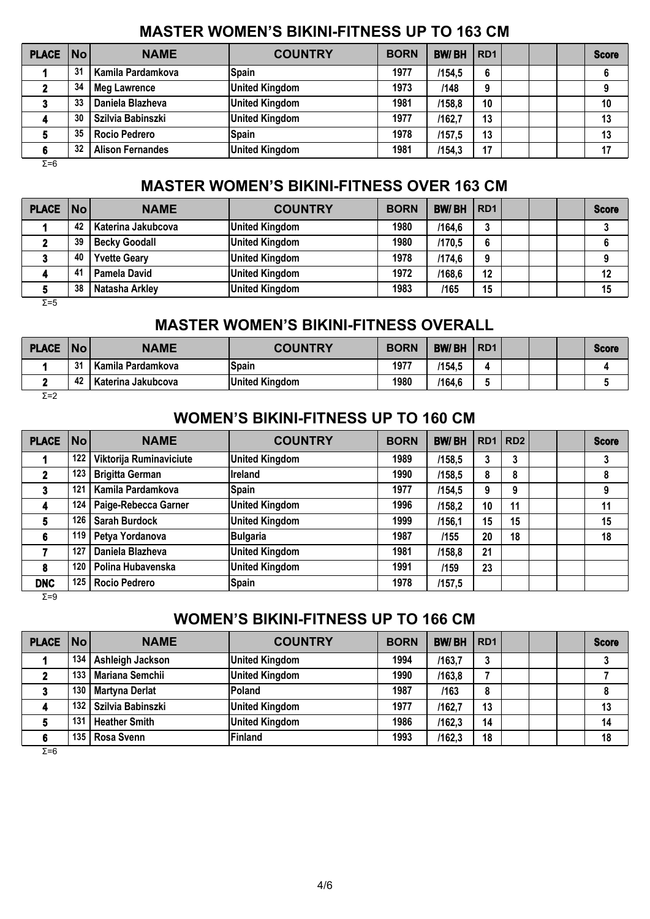### **MASTER WOMEN'S BIKINI-FITNESS UP TO 163 CM**

| <b>PLACE No</b> |    | <b>NAME</b>             | <b>COUNTRY</b>        | <b>BORN</b> | <b>BW/BH</b> | RD <sub>1</sub> |  | <b>Score</b> |
|-----------------|----|-------------------------|-----------------------|-------------|--------------|-----------------|--|--------------|
|                 | 31 | Kamila Pardamkova       | <b>Spain</b>          | 1977        | /154.5       | 6               |  | 6            |
|                 | 34 | <b>Meg Lawrence</b>     | <b>United Kingdom</b> | 1973        | /148         | 9               |  |              |
|                 | 33 | Daniela Blazheva        | <b>United Kingdom</b> | 1981        | /158,8       | 10              |  | 10           |
|                 | 30 | Szilvia Babinszki       | <b>United Kingdom</b> | 1977        | /162,7       | 13              |  | 13           |
|                 | 35 | <b>Rocio Pedrero</b>    | <b>Spain</b>          | 1978        | /157.5       | 13              |  | 13           |
|                 | 32 | <b>Alison Fernandes</b> | <b>United Kingdom</b> | 1981        | /154,3       | 17              |  | 17           |

Σ=6

### **MASTER WOMEN'S BIKINI-FITNESS OVER 163 CM**

| <b>PLACE   No  </b> |    | <b>NAME</b>          | <b>COUNTRY</b>        | <b>BORN</b> | <b>BW/BH</b> | RD <sub>1</sub> |  | <b>Score</b> |
|---------------------|----|----------------------|-----------------------|-------------|--------------|-----------------|--|--------------|
|                     | 42 | Katerina Jakubcova   | <b>United Kingdom</b> | 1980        | /164,6       | 3               |  |              |
|                     | 39 | <b>Becky Goodall</b> | <b>United Kingdom</b> | 1980        | /170.5       | 6               |  |              |
|                     | 40 | <b>Yvette Geary</b>  | <b>United Kingdom</b> | 1978        | /174,6       | 9               |  |              |
|                     | 41 | <b>Pamela David</b>  | <b>United Kingdom</b> | 1972        | /168,6       | 12              |  | 12           |
|                     | 38 | Natasha Arkley       | <b>United Kingdom</b> | 1983        | /165         | 15              |  | 15           |
| $\Sigma = 5$        |    |                      |                       |             |              |                 |  |              |

## **MASTER WOMEN'S BIKINI-FITNESS OVERALL**

| <b>PLACE</b> | No | <b>NAME</b>        | <b>COUNTRY</b>        | <b>BORN</b> | <b>BW/BH</b> | R <sub>D</sub> 1 |  | <b>Score</b> |
|--------------|----|--------------------|-----------------------|-------------|--------------|------------------|--|--------------|
|              | 31 | Kamila Pardamkova  | <b>Spain</b>          | 1977        | /154,5       |                  |  |              |
|              | 42 | Katerina Jakubcova | <b>United Kingdom</b> | 1980        | /164,6       |                  |  |              |

 $\overline{Σ}$ =2

#### **WOMEN'S BIKINI-FITNESS UP TO 160 CM**

| <b>PLACE</b> | No  | <b>NAME</b>             | <b>COUNTRY</b>        | <b>BORN</b> | <b>BW/BH</b> | RD <sub>1</sub> | RD <sub>2</sub> |  | <b>Score</b> |
|--------------|-----|-------------------------|-----------------------|-------------|--------------|-----------------|-----------------|--|--------------|
|              | 122 | Viktorija Ruminaviciute | <b>United Kingdom</b> | 1989        | /158,5       | 3               | 3               |  | 3            |
|              | 123 | <b>Brigitta German</b>  | Ireland               | 1990        | /158,5       | 8               | 8               |  | 8            |
| 3            | 121 | Kamila Pardamkova       | <b>Spain</b>          | 1977        | /154,5       | 9               | 9               |  | 9            |
| 4            | 124 | Paige-Rebecca Garner    | <b>United Kingdom</b> | 1996        | /158,2       | 10              | 11              |  | 11           |
| 5.           | 126 | <b>Sarah Burdock</b>    | <b>United Kingdom</b> | 1999        | /156,1       | 15              | 15              |  | 15           |
| 6            | 119 | Petya Yordanova         | <b>Bulgaria</b>       | 1987        | /155         | 20              | 18              |  | 18           |
|              | 127 | Daniela Blazheva        | <b>United Kingdom</b> | 1981        | /158,8       | 21              |                 |  |              |
| 8            | 120 | Polina Hubavenska       | <b>United Kingdom</b> | 1991        | /159         | 23              |                 |  |              |
| <b>DNC</b>   | 125 | <b>Rocio Pedrero</b>    | <b>Spain</b>          | 1978        | /157,5       |                 |                 |  |              |

Σ=9

# **WOMEN'S BIKINI-FITNESS UP TO 166 CM**

| PLACE No |     | <b>NAME</b>           | <b>COUNTRY</b>        | <b>BORN</b> | <b>BW/BH</b> | RD <sub>1</sub> |  | <b>Score</b> |
|----------|-----|-----------------------|-----------------------|-------------|--------------|-----------------|--|--------------|
|          | 134 | Ashleigh Jackson      | <b>United Kingdom</b> | 1994        | /163,7       | າ<br>J          |  | ≏            |
|          | 133 | Mariana Semchii       | <b>United Kingdom</b> | 1990        | /163.8       |                 |  |              |
|          | 130 | <b>Martyna Derlat</b> | Poland                | 1987        | /163         | 8               |  | 8            |
|          | 132 | Szilvia Babinszki     | <b>United Kingdom</b> | 1977        | /162,7       | 13              |  | 13           |
|          | 131 | <b>Heather Smith</b>  | <b>United Kingdom</b> | 1986        | /162.3       | 14              |  | 14           |
|          | 135 | Rosa Svenn            | Finland               | 1993        | /162,3       | 18              |  | 18           |

 $\overline{Σ=6}$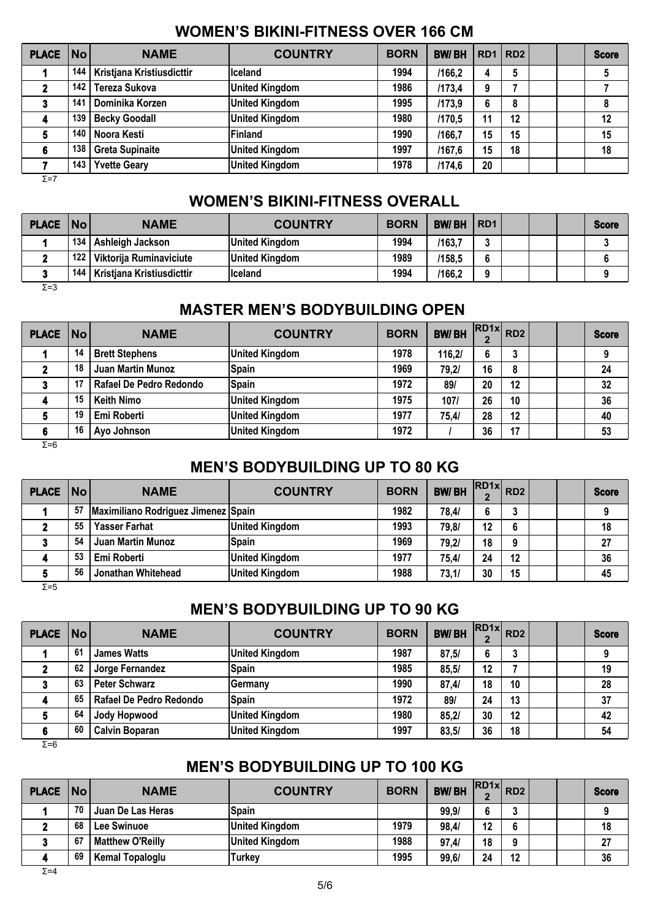## **WOMEN'S BIKINI-FITNESS OVER 166 CM**

| <b>PLACE</b> | No  | <b>NAME</b>               | <b>COUNTRY</b>        | <b>BORN</b> | <b>BW/BH</b> | RD1   RD2 |    |  | <b>Score</b> |
|--------------|-----|---------------------------|-----------------------|-------------|--------------|-----------|----|--|--------------|
|              | 144 | Kristjana Kristiusdicttir | Iceland               | 1994        | /166.2       | 4         | 5  |  |              |
|              | 142 | Tereza Sukova             | <b>United Kingdom</b> | 1986        | /173,4       | 9         |    |  |              |
|              | 141 | Dominika Korzen           | <b>United Kingdom</b> | 1995        | /173,9       | 6         | 8  |  |              |
|              | 139 | <b>Becky Goodall</b>      | <b>United Kingdom</b> | 1980        | /170,5       | 11        | 12 |  | 12           |
|              | 140 | Noora Kesti               | Finland               | 1990        | /166,7       | 15        | 15 |  | 15           |
| 6            | 138 | <b>Greta Supinaite</b>    | <b>United Kingdom</b> | 1997        | /167,6       | 15        | 18 |  | 18           |
|              | 143 | <b>Yvette Geary</b>       | <b>United Kingdom</b> | 1978        | /174,6       | 20        |    |  |              |
| $\Sigma = 7$ |     |                           |                       |             |              |           |    |  |              |

### **WOMEN'S BIKINI-FITNESS OVERALL**

| <b>PLACE   No  </b> |       | <b>NAME</b>                     | <b>COUNTRY</b>        | <b>BORN</b> | <b>BW/BH</b> | IRD <sub>1</sub> |  | <b>Score</b> |
|---------------------|-------|---------------------------------|-----------------------|-------------|--------------|------------------|--|--------------|
|                     | 134 l | Ashleigh Jackson                | <b>United Kingdom</b> | 1994        | /163,7       | -                |  |              |
|                     | 122   | Viktorija Ruminaviciute         | <b>United Kingdom</b> | 1989        | /158,5       | 6                |  |              |
|                     |       | 144   Kristiana Kristiusdicttir | Iceland               | 1994        | /166,2       | $\Omega$         |  |              |
| $\Sigma = 3$        |       |                                 |                       |             |              |                  |  |              |

### **MASTER MEN'S BODYBUILDING OPEN**

| <b>PLACE No</b> |    | <b>NAME</b>              | <b>COUNTRY</b>        | <b>BORN</b> | <b>BW/BH</b> | $\cdot$ RD1x RD2 |        |  | <b>Score</b> |
|-----------------|----|--------------------------|-----------------------|-------------|--------------|------------------|--------|--|--------------|
|                 | 14 | <b>Brett Stephens</b>    | <b>United Kingdom</b> | 1978        | 116,2/       | 6                | າ<br>ა |  | 9            |
|                 | 18 | <b>Juan Martin Munoz</b> | <b>Spain</b>          | 1969        | 79,21        | 16               | 8      |  | 24           |
|                 | 17 | Rafael De Pedro Redondo  | <b>Spain</b>          | 1972        | 89           | 20               | 12     |  | 32           |
|                 | 15 | <b>Keith Nimo</b>        | <b>United Kingdom</b> | 1975        | 107/         | 26               | 10     |  | 36           |
|                 | 19 | Emi Roberti              | <b>United Kingdom</b> | 1977        | 75,4/        | 28               | 12     |  | 40           |
|                 | 16 | Ayo Johnson              | <b>United Kingdom</b> | 1972        |              | 36               | 17     |  | 53           |
| $\Sigma = 6$    |    |                          |                       |             |              |                  |        |  |              |

## **MEN'S BODYBUILDING UP TO 80 KG**

| <b>PLACE   No  </b> |    | <b>NAME</b>                         | <b>COUNTRY</b>        | <b>BORN</b> | <b>BW/BH</b> | $RDAx$ $RD2$ |    |  | <b>Score</b> |
|---------------------|----|-------------------------------------|-----------------------|-------------|--------------|--------------|----|--|--------------|
|                     | 57 | Maximiliano Rodriguez Jimenez Spain |                       | 1982        | 78.4/        |              | 2  |  |              |
|                     | 55 | <b>Yasser Farhat</b>                | <b>United Kingdom</b> | 1993        | 79,8/        | 12           | 6  |  | 18           |
|                     | 54 | <b>Juan Martin Munoz</b>            | <b>Spain</b>          | 1969        | 79,2/        | 18           | 9  |  | 27           |
|                     | 53 | Emi Roberti                         | <b>United Kingdom</b> | 1977        | 75,4/        | 24           | 12 |  | 36           |
|                     | 56 | Jonathan Whitehead                  | <b>United Kingdom</b> | 1988        | 73,1/        | 30           | 15 |  | 45           |

Σ=5

# **MEN'S BODYBUILDING UP TO 90 KG**

| <b>PLACE No!</b> |    | <b>NAME</b>             | <b>COUNTRY</b>        | <b>BORN</b> | <b>BW/BH</b> | $\cdot$ RD1x RD2 |    |  | <b>Score</b> |
|------------------|----|-------------------------|-----------------------|-------------|--------------|------------------|----|--|--------------|
|                  | 61 | <b>James Watts</b>      | <b>United Kingdom</b> | 1987        | 87,5/        |                  |    |  |              |
|                  | 62 | Jorge Fernandez         | Spain                 | 1985        | 85,5/        | 12               |    |  | 19           |
|                  | 63 | <b>Peter Schwarz</b>    | Germany               | 1990        | 87,4/        | 18               | 10 |  | 28           |
|                  | 65 | Rafael De Pedro Redondo | <b>Spain</b>          | 1972        | 89/          | 24               | 13 |  | 37           |
|                  | 64 | Jody Hopwood            | <b>United Kingdom</b> | 1980        | 85,2/        | 30               | 12 |  | 42           |
|                  | 60 | <b>Calvin Boparan</b>   | <b>United Kingdom</b> | 1997        | 83,5/        | 36               | 18 |  | 54           |
| Σ=6              |    |                         |                       |             |              |                  |    |  |              |

# **MEN'S BODYBUILDING UP TO 100 KG**

| PLACE No |      | <b>NAME</b>             | <b>COUNTRY</b>        | <b>BORN</b> | <b>BW/BH</b> | $RDAx$ $RDA$ |          |  | <b>Score</b> |
|----------|------|-------------------------|-----------------------|-------------|--------------|--------------|----------|--|--------------|
|          | 70   | Juan De Las Heras       | <b>Spain</b>          |             | 99,9/        |              |          |  |              |
|          | 68   | Lee Swinuoe             | <b>United Kingdom</b> | 1979        | 98,4/        | 12           | 6        |  | 18           |
|          | - 67 | <b>Matthew O'Reilly</b> | <b>United Kingdom</b> | 1988        | 97,4/        | 18           | $\Omega$ |  | 27           |
|          | 69   | <b>Kemal Topaloglu</b>  | Turkey                | 1995        | 99,6/        | 24           | 12       |  | 36           |